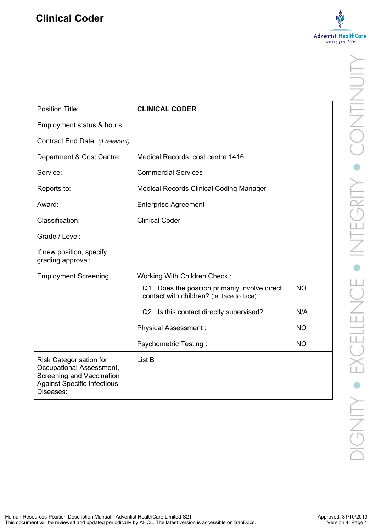

| Position Title:                                                                                                                                   | <b>CLINICAL CODER</b>                                                                         |           |
|---------------------------------------------------------------------------------------------------------------------------------------------------|-----------------------------------------------------------------------------------------------|-----------|
| Employment status & hours                                                                                                                         |                                                                                               |           |
| Contract End Date: (if relevant)                                                                                                                  |                                                                                               |           |
| Department & Cost Centre:                                                                                                                         | Medical Records, cost centre 1416                                                             |           |
| Service:                                                                                                                                          | <b>Commercial Services</b>                                                                    |           |
| Reports to:                                                                                                                                       | <b>Medical Records Clinical Coding Manager</b>                                                |           |
| Award:                                                                                                                                            | <b>Enterprise Agreement</b>                                                                   |           |
| Classification:                                                                                                                                   | <b>Clinical Coder</b>                                                                         |           |
| Grade / Level:                                                                                                                                    |                                                                                               |           |
| If new position, specify<br>grading approval:                                                                                                     |                                                                                               |           |
| <b>Employment Screening</b>                                                                                                                       | Working With Children Check:                                                                  |           |
|                                                                                                                                                   | Q1. Does the position primarily involve direct<br>contact with children? (ie, face to face) : | <b>NO</b> |
|                                                                                                                                                   | Q2. Is this contact directly supervised? :                                                    | N/A       |
|                                                                                                                                                   | <b>Physical Assessment:</b>                                                                   | <b>NO</b> |
|                                                                                                                                                   | Psychometric Testing:                                                                         | <b>NO</b> |
| <b>Risk Categorisation for</b><br>Occupational Assessment,<br><b>Screening and Vaccination</b><br><b>Against Specific Infectious</b><br>Diseases: | List B                                                                                        |           |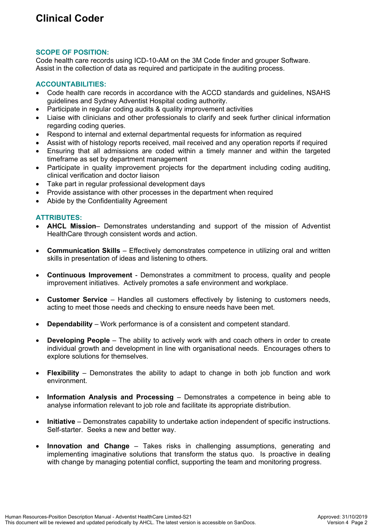# **SCOPE OF POSITION:**

Code health care records using ICD-10-AM on the 3M Code finder and grouper Software. Assist in the collection of data as required and participate in the auditing process.

# **ACCOUNTABILITIES:**

- Code health care records in accordance with the ACCD standards and guidelines, NSAHS guidelines and Sydney Adventist Hospital coding authority.
- Participate in regular coding audits & quality improvement activities
- Liaise with clinicians and other professionals to clarify and seek further clinical information regarding coding queries.
- Respond to internal and external departmental requests for information as required
- Assist with of histology reports received, mail received and any operation reports if required
- Ensuring that all admissions are coded within a timely manner and within the targeted timeframe as set by department management
- Participate in quality improvement projects for the department including coding auditing, clinical verification and doctor liaison
- Take part in regular professional development days
- Provide assistance with other processes in the department when required
- Abide by the Confidentiality Agreement

# **ATTRIBUTES:**

- **AHCL Mission** Demonstrates understanding and support of the mission of Adventist HealthCare through consistent words and action.
- **Communication Skills** Effectively demonstrates competence in utilizing oral and written skills in presentation of ideas and listening to others.
- **Continuous Improvement**  Demonstrates a commitment to process, quality and people improvement initiatives. Actively promotes a safe environment and workplace.
- **Customer Service** Handles all customers effectively by listening to customers needs, acting to meet those needs and checking to ensure needs have been met.
- **Dependability** Work performance is of a consistent and competent standard.
- **Developing People** The ability to actively work with and coach others in order to create individual growth and development in line with organisational needs. Encourages others to explore solutions for themselves.
- **Flexibility** Demonstrates the ability to adapt to change in both job function and work environment.
- **Information Analysis and Processing** Demonstrates a competence in being able to analyse information relevant to job role and facilitate its appropriate distribution.
- **Initiative** Demonstrates capability to undertake action independent of specific instructions. Self-starter. Seeks a new and better way.
- **Innovation and Change** Takes risks in challenging assumptions, generating and implementing imaginative solutions that transform the status quo. Is proactive in dealing with change by managing potential conflict, supporting the team and monitoring progress.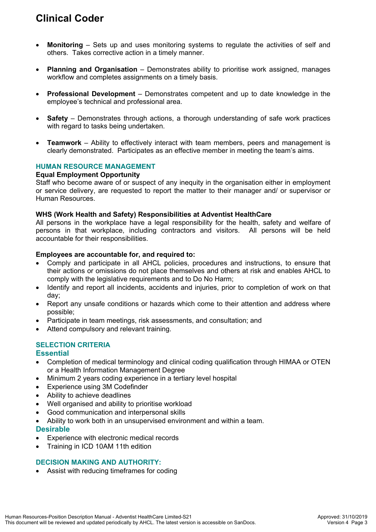# **Clinical Coder**

- **Monitoring** Sets up and uses monitoring systems to regulate the activities of self and others. Takes corrective action in a timely manner.
- **Planning and Organisation** Demonstrates ability to prioritise work assigned, manages workflow and completes assignments on a timely basis.
- **Professional Development** Demonstrates competent and up to date knowledge in the employee's technical and professional area.
- **Safety** Demonstrates through actions, a thorough understanding of safe work practices with regard to tasks being undertaken.
- **Teamwork** Ability to effectively interact with team members, peers and management is clearly demonstrated. Participates as an effective member in meeting the team's aims.

## **HUMAN RESOURCE MANAGEMENT**

#### **Equal Employment Opportunity**

Staff who become aware of or suspect of any inequity in the organisation either in employment or service delivery, are requested to report the matter to their manager and/ or supervisor or Human Resources.

#### **WHS (Work Health and Safety) Responsibilities at Adventist HealthCare**

All persons in the workplace have a legal responsibility for the health, safety and welfare of persons in that workplace, including contractors and visitors. All persons will be held accountable for their responsibilities.

#### **Employees are accountable for, and required to:**

- Comply and participate in all AHCL policies, procedures and instructions, to ensure that their actions or omissions do not place themselves and others at risk and enables AHCL to comply with the legislative requirements and to Do No Harm;
- Identify and report all incidents, accidents and injuries, prior to completion of work on that day;
- Report any unsafe conditions or hazards which come to their attention and address where possible;
- Participate in team meetings, risk assessments, and consultation; and
- Attend compulsory and relevant training.

# **SELECTION CRITERIA**

## **Essential**

- Completion of medical terminology and clinical coding qualification through HIMAA or OTEN or a Health Information Management Degree
- Minimum 2 years coding experience in a tertiary level hospital
- Experience using 3M Codefinder
- Ability to achieve deadlines
- Well organised and ability to prioritise workload
- Good communication and interpersonal skills
- Ability to work both in an unsupervised environment and within a team.

## **Desirable**

- Experience with electronic medical records
- Training in ICD 10AM 11th edition

# **DECISION MAKING AND AUTHORITY:**

Assist with reducing timeframes for coding